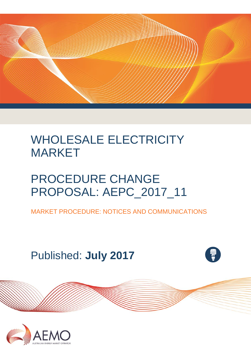

# WHOLESALE ELECTRICITY MARKET

# PROCEDURE CHANGE PROPOSAL: AEPC\_2017\_11

MARKET PROCEDURE: NOTICES AND COMMUNICATIONS

Published: **July 2017**



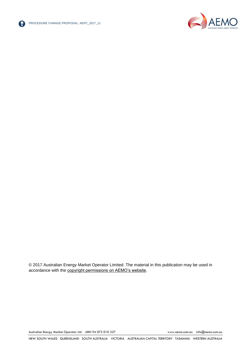



© 2017 Australian Energy Market Operator Limited. The material in this publication may be used in accordance with the [copyright permissions on AEMO's website.](http://aemo.com.au/Privacy_and_Legal_Notices/Copyright_Permissions_Notice)

Australian Energy Market Operator Ltd ABN 94 072 010 327 [www.aemo.com.au](http://www.aemo.com.au/) [info@aemo.com.au](mailto:info@aemo.com.au)

NEW SOUTH WALES QUEENSLAND SOUTH AUSTRALIA VICTORIA AUSTRALIAN CAPITAL TERRITORY TASMANIA WESTERN AUSTRALIA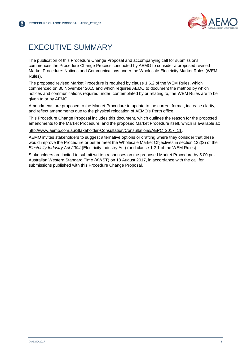

# <span id="page-2-0"></span>EXECUTIVE SUMMARY

The publication of this Procedure Change Proposal and accompanying call for submissions commences the Procedure Change Process conducted by AEMO to consider a proposed revised Market Procedure: Notices and Communications under the Wholesale Electricity Market Rules (WEM Rules).

The proposed revised Market Procedure is required by clause 1.6.2 of the WEM Rules, which commenced on 30 November 2015 and which requires AEMO to document the method by which notices and communications required under, contemplated by or relating to, the WEM Rules are to be given to or by AEMO.

Amendments are proposed to the Market Procedure to update to the current format, increase clarity, and reflect amendments due to the physical relocation of AEMO's Perth office.

This Procedure Change Proposal includes this document, which outlines the reason for the proposed amendments to the Market Procedure, and the proposed Market Procedure itself, which is available at:

[http://www.aemo.com.au/Stakeholder-Consultation/Consultations/AEPC\\_2017\\_11.](http://www.aemo.com.au/Stakeholder-Consultation/Consultations/AEPC_2017_11)

AEMO invites stakeholders to suggest alternative options or drafting where they consider that these would improve the Procedure or better meet the Wholesale Market Objectives in section 122(2) of the *Electricity Industry Act 2004* (Electricity Industry Act) (and clause 1.2.1 of the WEM Rules).

Stakeholders are invited to submit written responses on the proposed Market Procedure by 5.00 pm Australian Western Standard Time (AWST) on 18 August 2017, in accordance with the call for submissions published with this Procedure Change Proposal.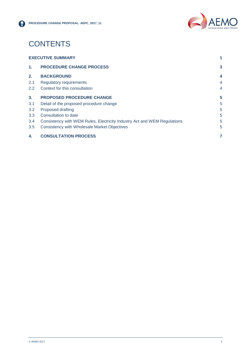

# **CONTENTS**

| $2.2^{\circ}$ | Context for this consultation                                            | 4 |
|---------------|--------------------------------------------------------------------------|---|
| 3.            | <b>PROPOSED PROCEDURE CHANGE</b>                                         | 5 |
| 3.1           | Detail of the proposed procedure change                                  | 5 |
| $3.2^{\circ}$ | Proposed drafting                                                        | 5 |
| 3.3           | Consultation to date                                                     | 5 |
| 3.4           | Consistency with WEM Rules, Electricity Industry Act and WEM Regulations | 5 |
| 3.5           | <b>Consistency with Wholesale Market Objectives</b>                      | 5 |
| 4.            | <b>CONSULTATION PROCESS</b>                                              | 7 |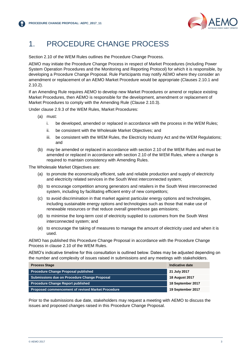

# <span id="page-4-0"></span>1. PROCEDURE CHANGE PROCESS

Section 2.10 of the WEM Rules outlines the Procedure Change Process.

AEMO may initiate the Procedure Change Process in respect of Market Procedures (including Power System Operation Procedures and the Monitoring and Reporting Protocol) for which it is responsible, by developing a Procedure Change Proposal. Rule Participants may notify AEMO where they consider an amendment or replacement of an AEMO Market Procedure would be appropriate (Clauses 2.10.1 and 2.10.2).

If an Amending Rule requires AEMO to develop new Market Procedures or amend or replace existing Market Procedures, then AEMO is responsible for the development, amendment or replacement of Market Procedures to comply with the Amending Rule (Clause 2.10.3).

Under clause 2.9.3 of the WEM Rules, Market Procedures:

- (a) must:
	- i. be developed, amended or replaced in accordance with the process in the WEM Rules;
	- ii. be consistent with the Wholesale Market Objectives; and
	- iii. be consistent with the WEM Rules, the Electricity Industry Act and the WEM Regulations; and
- (b) may be amended or replaced in accordance with section 2.10 of the WEM Rules and must be amended or replaced in accordance with section 2.10 of the WEM Rules, where a change is required to maintain consistency with Amending Rules.

The Wholesale Market Objectives are:

- (a) to promote the economically efficient, safe and reliable production and supply of electricity and electricity related services in the South West interconnected system;
- (b) to encourage competition among generators and retailers in the South West interconnected system, including by facilitating efficient entry of new competitors;
- (c) to avoid discrimination in that market against particular energy options and technologies, including sustainable energy options and technologies such as those that make use of renewable resources or that reduce overall greenhouse gas emissions;
- (d) to minimise the long-term cost of electricity supplied to customers from the South West interconnected system; and
- (e) to encourage the taking of measures to manage the amount of electricity used and when it is used.

AEMO has published this Procedure Change Proposal in accordance with the Procedure Change Process in clause 2.10 of the WEM Rules.

AEMO's indicative timeline for this consultation is outlined below. Dates may be adjusted depending on the number and complexity of issues raised in submissions and any meetings with stakeholders.

| <b>Process Stage</b>                              | Indicative date       |  |
|---------------------------------------------------|-----------------------|--|
| <b>Procedure Change Proposal published</b>        | 21 July 2017          |  |
| Submissions due on Procedure Change Proposal      | <b>18 August 2017</b> |  |
| <b>Procedure Change Report published</b>          | 18 September 2017     |  |
| Proposed commencement of revised Market Procedure | 19 September 2017     |  |

Prior to the submissions due date, stakeholders may request a meeting with AEMO to discuss the issues and proposed changes raised in this Procedure Change Proposal.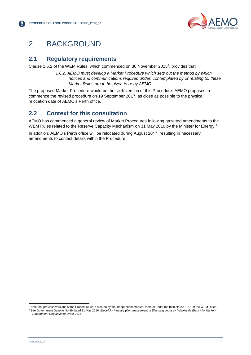

## <span id="page-5-0"></span>2. BACKGROUND

#### <span id="page-5-1"></span>**2.1 Regulatory requirements**

Clause 1.6.2 of the WEM Rules, which commenced on 30 November 2015<sup>1</sup> , provides that:

*1.6.2. AEMO must develop a Market Procedure which sets out the method by which notices and communications required under, contemplated by or relating to, these Market Rules are to be given to or by AEMO.*

The proposed Market Procedure would be the sixth version of this Procedure. AEMO proposes to commence the revised procedure on 19 September 2017, as close as possible to the physical relocation date of AEMO's Perth office.

#### <span id="page-5-2"></span>**2.2 Context for this consultation**

AEMO has commenced a general review of Market Procedures following gazetted amendments to the WEM Rules related to the Reserve Capacity Mechanism on 31 May 2016 by the Minister for Energy.<sup>2</sup>

In addition, AEMO's Perth office will be relocated during August 2017, resulting in necessary amendments to contact details within the Procedure.

l

<sup>1</sup> Note that previous versions of the Procedure were created by the Independent Market Operator under the then clause 1.6.1 of the WEM Rules. <sup>2</sup> See Government Gazette No.89 dated 31 May 2016, *Electricity Industry (Commencement of Electricity Industry (Wholesale Electricity Market) Amendment Regulations) Order 2016*.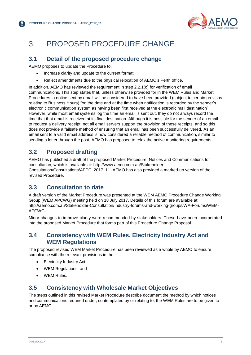

## <span id="page-6-0"></span>3. PROPOSED PROCEDURE CHANGE

#### <span id="page-6-1"></span>**3.1 Detail of the proposed procedure change**

AEMO proposes to update the Procedure to:

- Increase clarity and update to the current format.
- Reflect amendments due to the physical relocation of AEMO's Perth office.

In addition, AEMO has reviewed the requirement in step 2.2.1(c) for verification of email communications. This step states that, unless otherwise provided for in the WEM Rules and Market Procedures, a notice sent by email will be considered to have been provided (subject to certain provisos relating to Business Hours) "on the date and at the time when notification is recorded by the sender's electronic communication system as having been first received at the electronic mail destination". However, while most email systems log the time an email is sent out, they do not always record the time that that email is received at its final destination. Although it is possible for the sender of an email to request a delivery receipt, not all email servers support the provision of these receipts, and so this does not provide a failsafe method of ensuring that an email has been successfully delivered. As an email sent to a valid email address is now considered a reliable method of communication, similar to sending a letter through the post. AEMO has proposed to relax the active monitoring requirements.

### <span id="page-6-2"></span>**3.2 Proposed drafting**

AEMO has published a draft of the proposed Market Procedure: Notices and Communications for consultation, which is available at: [http://www.aemo.com.au/Stakeholder-](http://www.aemo.com.au/Stakeholder-Consultation/Consultations/AEPC_2017_11)

[Consultation/Consultations/AEPC\\_2017\\_11.](http://www.aemo.com.au/Stakeholder-Consultation/Consultations/AEPC_2017_11) AEMO has also provided a marked-up version of the revised Procedure.

### <span id="page-6-3"></span>**3.3 Consultation to date**

A draft version of the Market Procedure was presented at the WEM AEMO Procedure Change Working Group (WEM APCWG) meeting held on 18 July 2017. Details of this forum are available at: http://aemo.com.au/Stakeholder-Consultation/Industry-forums-and-working-groups/WA-Forums/WEM-APCWG.

Minor changes to improve clarity were recommended by stakeholders. These have been incorporated into the proposed Market Procedure that forms part of this Procedure Change Proposal.

#### <span id="page-6-4"></span>**3.4 Consistency with WEM Rules, Electricity Industry Act and WEM Regulations**

The proposed revised WEM Market Procedure has been reviewed as a whole by AEMO to ensure compliance with the relevant provisions in the:

- Electricity Industry Act;
- WEM Regulations; and
- WEM Rules.

### <span id="page-6-5"></span>**3.5 Consistency with Wholesale Market Objectives**

The steps outlined in this revised Market Procedure describe document the method by which notices and communications required under, contemplated by or relating to, the WEM Rules are to be given to or by AEMO.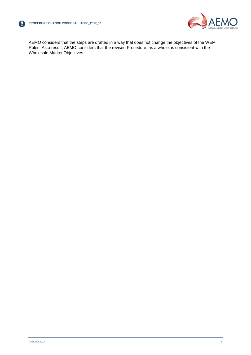



AEMO considers that the steps are drafted in a way that does not change the objectives of the WEM Rules. As a result, AEMO considers that the revised Procedure, as a whole, is consistent with the Wholesale Market Objectives.